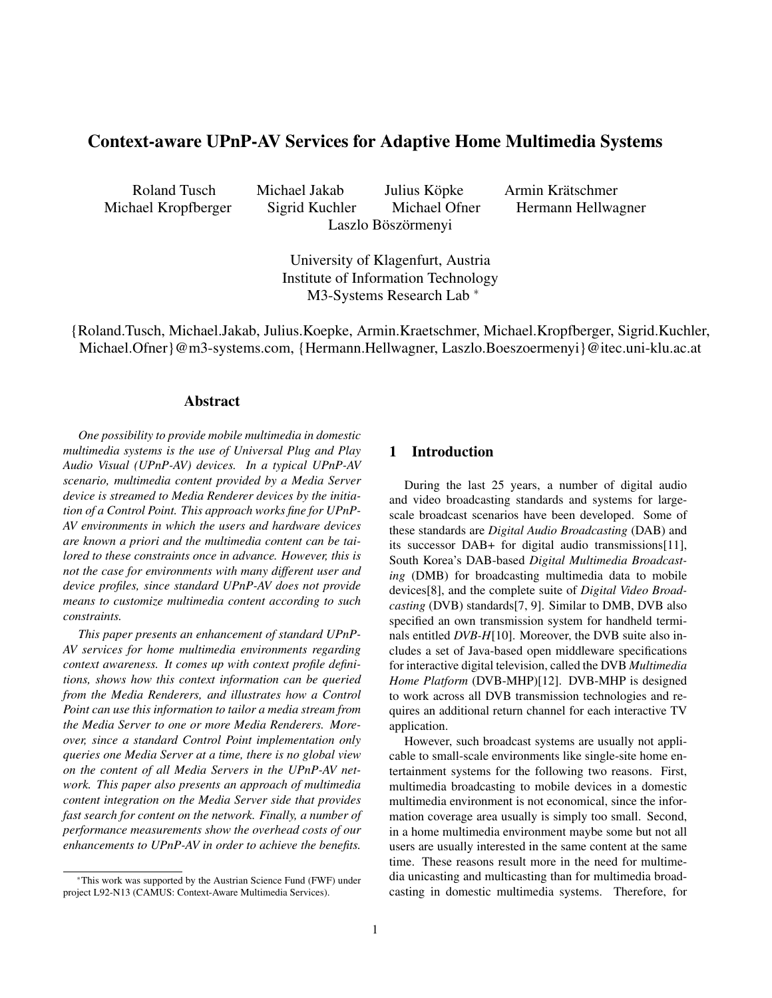# Context-aware UPnP-AV Services for Adaptive Home Multimedia Systems

Roland Tusch Michael Jakab Julius Köpke Armin Krätschmer Michael Kropfberger Sigrid Kuchler Michael Ofner Hermann Hellwagner Laszlo Böszörmenyi

University of Klagenfurt, Austria Institute of Information Technology M3-Systems Research Lab<sup>\*</sup>

{Roland.Tusch, Michael.Jakab, Julius.Koepke, Armin.Kraetschmer, Michael.Kropfberger, Sigrid.Kuchler, Michael.Ofner}@m3-systems.com, {Hermann.Hellwagner, Laszlo.Boeszoermenyi}@itec.uni-klu.ac.at

# Abstract

*One possibility to provide mobile multimedia in domestic multimedia systems is the use of Universal Plug and Play Audio Visual (UPnP-AV) devices. In a typical UPnP-AV scenario, multimedia content provided by a Media Server device is streamed to Media Renderer devices by the initiation of a Control Point. This approach works fine for UPnP-AV environments in which the users and hardware devices are known a priori and the multimedia content can be tailored to these constraints once in advance. However, this is not the case for environments with many different user and device profiles, since standard UPnP-AV does not provide means to customize multimedia content according to such constraints.*

*This paper presents an enhancement of standard UPnP-AV services for home multimedia environments regarding context awareness. It comes up with context profile definitions, shows how this context information can be queried from the Media Renderers, and illustrates how a Control Point can use this information to tailor a media stream from the Media Server to one or more Media Renderers. Moreover, since a standard Control Point implementation only queries one Media Server at a time, there is no global view on the content of all Media Servers in the UPnP-AV network. This paper also presents an approach of multimedia content integration on the Media Server side that provides fast search for content on the network. Finally, a number of performance measurements show the overhead costs of our enhancements to UPnP-AV in order to achieve the benefits.*

# 1 Introduction

During the last 25 years, a number of digital audio and video broadcasting standards and systems for largescale broadcast scenarios have been developed. Some of these standards are *Digital Audio Broadcasting* (DAB) and its successor DAB+ for digital audio transmissions[11], South Korea's DAB-based *Digital Multimedia Broadcasting* (DMB) for broadcasting multimedia data to mobile devices[8], and the complete suite of *Digital Video Broadcasting* (DVB) standards[7, 9]. Similar to DMB, DVB also specified an own transmission system for handheld terminals entitled *DVB-H*[10]. Moreover, the DVB suite also includes a set of Java-based open middleware specifications for interactive digital television, called the DVB *Multimedia Home Platform* (DVB-MHP)[12]. DVB-MHP is designed to work across all DVB transmission technologies and requires an additional return channel for each interactive TV application.

However, such broadcast systems are usually not applicable to small-scale environments like single-site home entertainment systems for the following two reasons. First, multimedia broadcasting to mobile devices in a domestic multimedia environment is not economical, since the information coverage area usually is simply too small. Second, in a home multimedia environment maybe some but not all users are usually interested in the same content at the same time. These reasons result more in the need for multimedia unicasting and multicasting than for multimedia broadcasting in domestic multimedia systems. Therefore, for

<sup>∗</sup>This work was supported by the Austrian Science Fund (FWF) under project L92-N13 (CAMUS: Context-Aware Multimedia Services).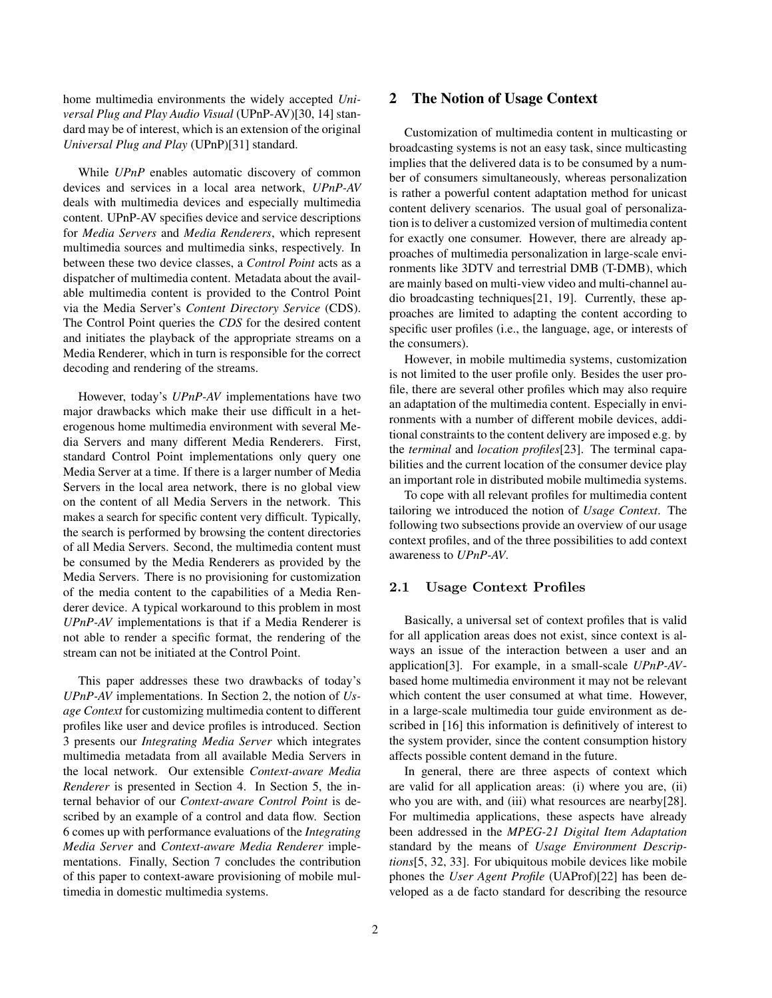home multimedia environments the widely accepted *Universal Plug and Play Audio Visual* (UPnP-AV)[30, 14] standard may be of interest, which is an extension of the original *Universal Plug and Play* (UPnP)[31] standard.

While *UPnP* enables automatic discovery of common devices and services in a local area network, *UPnP-AV* deals with multimedia devices and especially multimedia content. UPnP-AV specifies device and service descriptions for *Media Servers* and *Media Renderers*, which represent multimedia sources and multimedia sinks, respectively. In between these two device classes, a *Control Point* acts as a dispatcher of multimedia content. Metadata about the available multimedia content is provided to the Control Point via the Media Server's *Content Directory Service* (CDS). The Control Point queries the *CDS* for the desired content and initiates the playback of the appropriate streams on a Media Renderer, which in turn is responsible for the correct decoding and rendering of the streams.

However, today's *UPnP-AV* implementations have two major drawbacks which make their use difficult in a heterogenous home multimedia environment with several Media Servers and many different Media Renderers. First, standard Control Point implementations only query one Media Server at a time. If there is a larger number of Media Servers in the local area network, there is no global view on the content of all Media Servers in the network. This makes a search for specific content very difficult. Typically, the search is performed by browsing the content directories of all Media Servers. Second, the multimedia content must be consumed by the Media Renderers as provided by the Media Servers. There is no provisioning for customization of the media content to the capabilities of a Media Renderer device. A typical workaround to this problem in most *UPnP-AV* implementations is that if a Media Renderer is not able to render a specific format, the rendering of the stream can not be initiated at the Control Point.

This paper addresses these two drawbacks of today's *UPnP-AV* implementations. In Section 2, the notion of *Usage Context* for customizing multimedia content to different profiles like user and device profiles is introduced. Section 3 presents our *Integrating Media Server* which integrates multimedia metadata from all available Media Servers in the local network. Our extensible *Context-aware Media Renderer* is presented in Section 4. In Section 5, the internal behavior of our *Context-aware Control Point* is described by an example of a control and data flow. Section 6 comes up with performance evaluations of the *Integrating Media Server* and *Context-aware Media Renderer* implementations. Finally, Section 7 concludes the contribution of this paper to context-aware provisioning of mobile multimedia in domestic multimedia systems.

### 2 The Notion of Usage Context

Customization of multimedia content in multicasting or broadcasting systems is not an easy task, since multicasting implies that the delivered data is to be consumed by a number of consumers simultaneously, whereas personalization is rather a powerful content adaptation method for unicast content delivery scenarios. The usual goal of personalization is to deliver a customized version of multimedia content for exactly one consumer. However, there are already approaches of multimedia personalization in large-scale environments like 3DTV and terrestrial DMB (T-DMB), which are mainly based on multi-view video and multi-channel audio broadcasting techniques[21, 19]. Currently, these approaches are limited to adapting the content according to specific user profiles (i.e., the language, age, or interests of the consumers).

However, in mobile multimedia systems, customization is not limited to the user profile only. Besides the user profile, there are several other profiles which may also require an adaptation of the multimedia content. Especially in environments with a number of different mobile devices, additional constraints to the content delivery are imposed e.g. by the *terminal* and *location profiles*[23]. The terminal capabilities and the current location of the consumer device play an important role in distributed mobile multimedia systems.

To cope with all relevant profiles for multimedia content tailoring we introduced the notion of *Usage Context*. The following two subsections provide an overview of our usage context profiles, and of the three possibilities to add context awareness to *UPnP-AV*.

#### 2.1 Usage Context Profiles

Basically, a universal set of context profiles that is valid for all application areas does not exist, since context is always an issue of the interaction between a user and an application[3]. For example, in a small-scale *UPnP-AV*based home multimedia environment it may not be relevant which content the user consumed at what time. However, in a large-scale multimedia tour guide environment as described in [16] this information is definitively of interest to the system provider, since the content consumption history affects possible content demand in the future.

In general, there are three aspects of context which are valid for all application areas: (i) where you are, (ii) who you are with, and (iii) what resources are nearby[28]. For multimedia applications, these aspects have already been addressed in the *MPEG-21 Digital Item Adaptation* standard by the means of *Usage Environment Descriptions*[5, 32, 33]. For ubiquitous mobile devices like mobile phones the *User Agent Profile* (UAProf)[22] has been developed as a de facto standard for describing the resource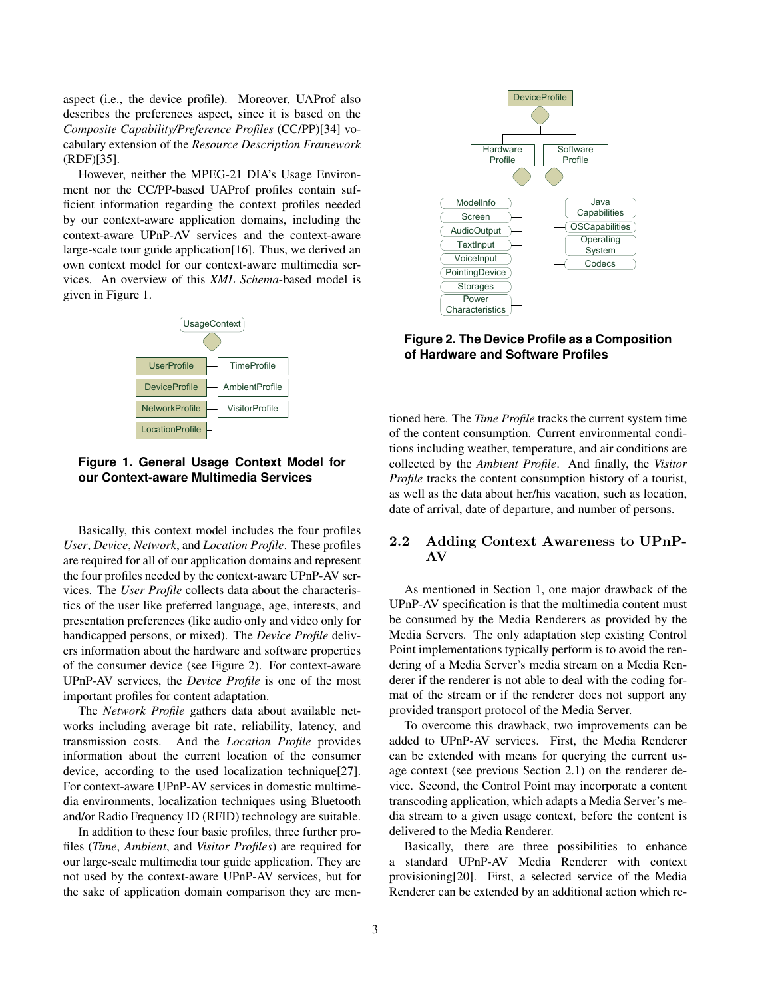aspect (i.e., the device profile). Moreover, UAProf also describes the preferences aspect, since it is based on the *Composite Capability/Preference Profiles* (CC/PP)[34] vocabulary extension of the *Resource Description Framework* (RDF)[35].

However, neither the MPEG-21 DIA's Usage Environment nor the CC/PP-based UAProf profiles contain sufficient information regarding the context profiles needed by our context-aware application domains, including the context-aware UPnP-AV services and the context-aware large-scale tour guide application[16]. Thus, we derived an own context model for our context-aware multimedia services. An overview of this *XML Schema*-based model is given in Figure 1.



# **Figure 1. General Usage Context Model for our Context-aware Multimedia Services**

Basically, this context model includes the four profiles *User*, *Device*, *Network*, and *Location Profile*. These profiles are required for all of our application domains and represent the four profiles needed by the context-aware UPnP-AV services. The *User Profile* collects data about the characteristics of the user like preferred language, age, interests, and presentation preferences (like audio only and video only for handicapped persons, or mixed). The *Device Profile* delivers information about the hardware and software properties of the consumer device (see Figure 2). For context-aware UPnP-AV services, the *Device Profile* is one of the most important profiles for content adaptation.

The *Network Profile* gathers data about available networks including average bit rate, reliability, latency, and transmission costs. And the *Location Profile* provides information about the current location of the consumer device, according to the used localization technique[27]. For context-aware UPnP-AV services in domestic multimedia environments, localization techniques using Bluetooth and/or Radio Frequency ID (RFID) technology are suitable.

In addition to these four basic profiles, three further profiles (*Time*, *Ambient*, and *Visitor Profiles*) are required for our large-scale multimedia tour guide application. They are not used by the context-aware UPnP-AV services, but for the sake of application domain comparison they are men-



**Figure 2. The Device Profile as a Composition of Hardware and Software Profiles**

tioned here. The *Time Profile* tracks the current system time of the content consumption. Current environmental conditions including weather, temperature, and air conditions are collected by the *Ambient Profile*. And finally, the *Visitor Profile* tracks the content consumption history of a tourist, as well as the data about her/his vacation, such as location, date of arrival, date of departure, and number of persons.

# 2.2 Adding Context Awareness to UPnP-AV

As mentioned in Section 1, one major drawback of the UPnP-AV specification is that the multimedia content must be consumed by the Media Renderers as provided by the Media Servers. The only adaptation step existing Control Point implementations typically perform is to avoid the rendering of a Media Server's media stream on a Media Renderer if the renderer is not able to deal with the coding format of the stream or if the renderer does not support any provided transport protocol of the Media Server.

To overcome this drawback, two improvements can be added to UPnP-AV services. First, the Media Renderer can be extended with means for querying the current usage context (see previous Section 2.1) on the renderer device. Second, the Control Point may incorporate a content transcoding application, which adapts a Media Server's media stream to a given usage context, before the content is delivered to the Media Renderer.

Basically, there are three possibilities to enhance a standard UPnP-AV Media Renderer with context provisioning[20]. First, a selected service of the Media Renderer can be extended by an additional action which re-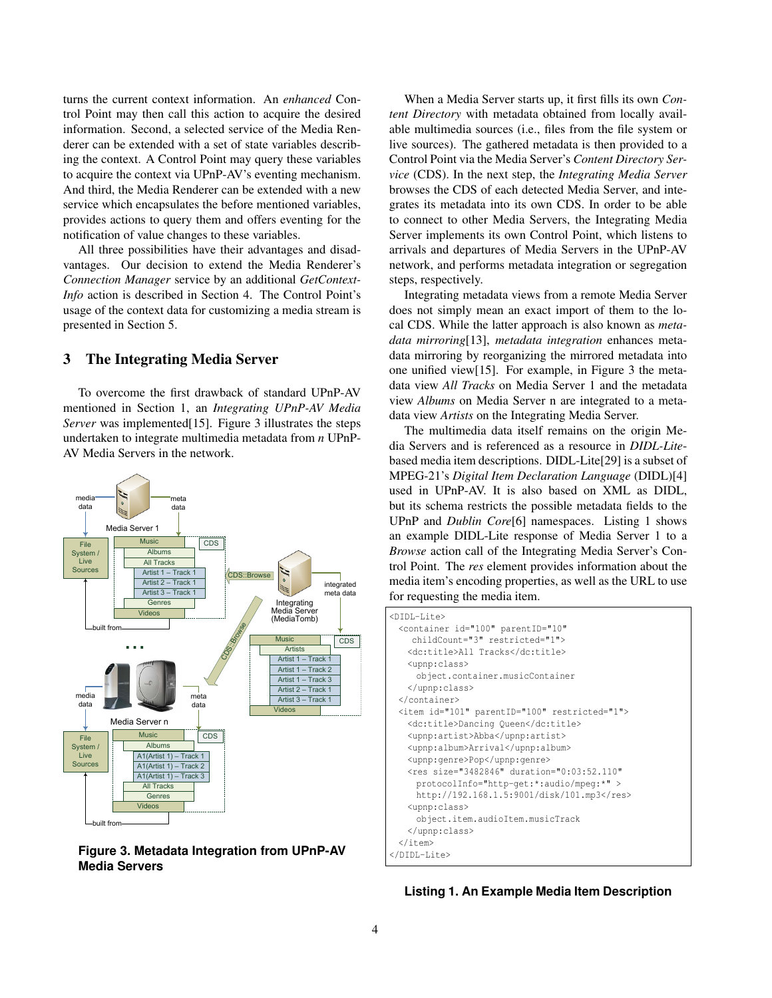turns the current context information. An *enhanced* Control Point may then call this action to acquire the desired information. Second, a selected service of the Media Renderer can be extended with a set of state variables describing the context. A Control Point may query these variables to acquire the context via UPnP-AV's eventing mechanism. And third, the Media Renderer can be extended with a new service which encapsulates the before mentioned variables, provides actions to query them and offers eventing for the notification of value changes to these variables.

All three possibilities have their advantages and disadvantages. Our decision to extend the Media Renderer's *Connection Manager* service by an additional *GetContext-Info* action is described in Section 4. The Control Point's usage of the context data for customizing a media stream is presented in Section 5.

# 3 The Integrating Media Server

To overcome the first drawback of standard UPnP-AV mentioned in Section 1, an *Integrating UPnP-AV Media Server* was implemented[15]. Figure 3 illustrates the steps undertaken to integrate multimedia metadata from *n* UPnP-AV Media Servers in the network.



**Figure 3. Metadata Integration from UPnP-AV Media Servers**

When a Media Server starts up, it first fills its own *Content Directory* with metadata obtained from locally available multimedia sources (i.e., files from the file system or live sources). The gathered metadata is then provided to a Control Point via the Media Server's *Content Directory Service* (CDS). In the next step, the *Integrating Media Server* browses the CDS of each detected Media Server, and integrates its metadata into its own CDS. In order to be able to connect to other Media Servers, the Integrating Media Server implements its own Control Point, which listens to arrivals and departures of Media Servers in the UPnP-AV network, and performs metadata integration or segregation steps, respectively.

Integrating metadata views from a remote Media Server does not simply mean an exact import of them to the local CDS. While the latter approach is also known as *metadata mirroring*[13], *metadata integration* enhances metadata mirroring by reorganizing the mirrored metadata into one unified view[15]. For example, in Figure 3 the metadata view *All Tracks* on Media Server 1 and the metadata view *Albums* on Media Server n are integrated to a metadata view *Artists* on the Integrating Media Server.

The multimedia data itself remains on the origin Media Servers and is referenced as a resource in *DIDL-Lite*based media item descriptions. DIDL-Lite[29] is a subset of MPEG-21's *Digital Item Declaration Language* (DIDL)[4] used in UPnP-AV. It is also based on XML as DIDL, but its schema restricts the possible metadata fields to the UPnP and *Dublin Core*[6] namespaces. Listing 1 shows an example DIDL-Lite response of Media Server 1 to a *Browse* action call of the Integrating Media Server's Control Point. The *res* element provides information about the media item's encoding properties, as well as the URL to use for requesting the media item.

| <didl-lite></didl-lite>                                      |
|--------------------------------------------------------------|
| <container <="" id="100" parentid="10" td=""></container>    |
| childCount="3" restricted="1">                               |
| <dc:title>All Tracks</dc:title>                              |
| <upnp:class></upnp:class>                                    |
| object.container.musicContainer                              |
|                                                              |
|                                                              |
| <item id="101" parentid="100" restricted="1"></item>         |
| <dc:title>Dancing Queen</dc:title>                           |
| <upnp:artist>Abba</upnp:artist>                              |
| <upnp:album>Arrival</upnp:album>                             |
| <upnp:genre>Pop</upnp:genre>                                 |
| <res <="" duration="0:03:52.110" size="3482846" td=""></res> |
| protocolInfo="http-get: *: audio/mpeq: *" >                  |
| http://192.168.1.5:9001/disk/101.mp3                         |
| <upnp:class></upnp:class>                                    |
| object.item.audioItem.musicTrack                             |
|                                                              |
|                                                              |
|                                                              |
|                                                              |

**Listing 1. An Example Media Item Description**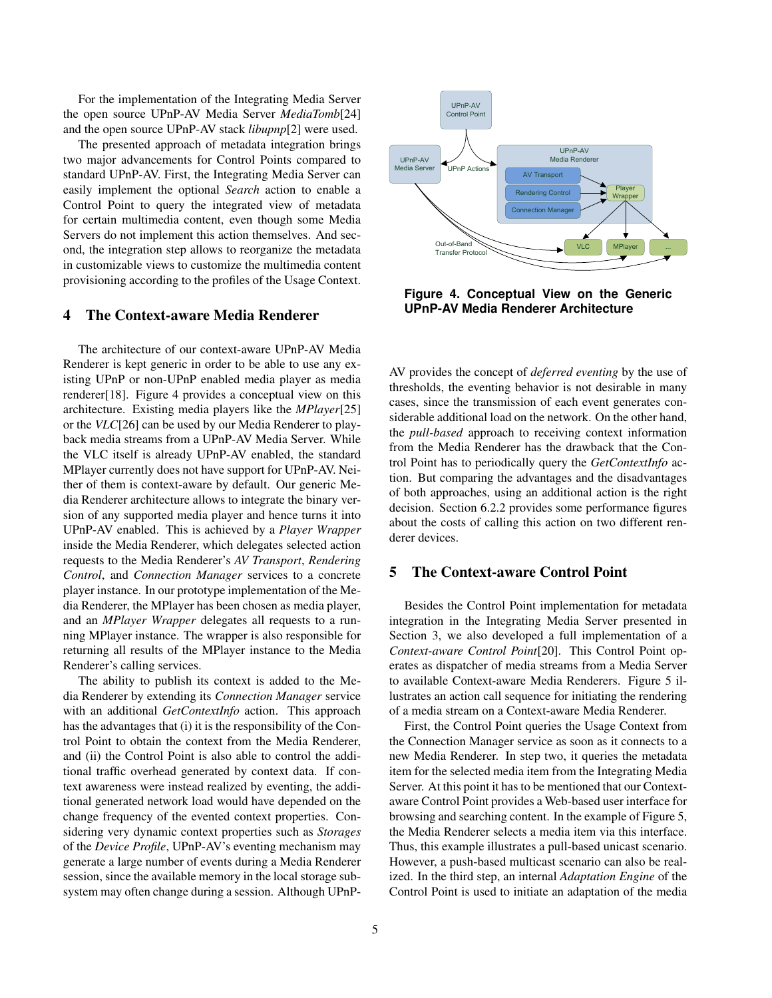For the implementation of the Integrating Media Server the open source UPnP-AV Media Server *MediaTomb*[24] and the open source UPnP-AV stack *libupnp*[2] were used.

The presented approach of metadata integration brings two major advancements for Control Points compared to standard UPnP-AV. First, the Integrating Media Server can easily implement the optional *Search* action to enable a Control Point to query the integrated view of metadata for certain multimedia content, even though some Media Servers do not implement this action themselves. And second, the integration step allows to reorganize the metadata in customizable views to customize the multimedia content provisioning according to the profiles of the Usage Context.

# 4 The Context-aware Media Renderer

The architecture of our context-aware UPnP-AV Media Renderer is kept generic in order to be able to use any existing UPnP or non-UPnP enabled media player as media renderer[18]. Figure 4 provides a conceptual view on this architecture. Existing media players like the *MPlayer*[25] or the *VLC*[26] can be used by our Media Renderer to playback media streams from a UPnP-AV Media Server. While the VLC itself is already UPnP-AV enabled, the standard MPlayer currently does not have support for UPnP-AV. Neither of them is context-aware by default. Our generic Media Renderer architecture allows to integrate the binary version of any supported media player and hence turns it into UPnP-AV enabled. This is achieved by a *Player Wrapper* inside the Media Renderer, which delegates selected action requests to the Media Renderer's *AV Transport*, *Rendering Control*, and *Connection Manager* services to a concrete player instance. In our prototype implementation of the Media Renderer, the MPlayer has been chosen as media player, and an *MPlayer Wrapper* delegates all requests to a running MPlayer instance. The wrapper is also responsible for returning all results of the MPlayer instance to the Media Renderer's calling services.

The ability to publish its context is added to the Media Renderer by extending its *Connection Manager* service with an additional *GetContextInfo* action. This approach has the advantages that (i) it is the responsibility of the Control Point to obtain the context from the Media Renderer, and (ii) the Control Point is also able to control the additional traffic overhead generated by context data. If context awareness were instead realized by eventing, the additional generated network load would have depended on the change frequency of the evented context properties. Considering very dynamic context properties such as *Storages* of the *Device Profile*, UPnP-AV's eventing mechanism may generate a large number of events during a Media Renderer session, since the available memory in the local storage subsystem may often change during a session. Although UPnP-



**Figure 4. Conceptual View on the Generic UPnP-AV Media Renderer Architecture**

AV provides the concept of *deferred eventing* by the use of thresholds, the eventing behavior is not desirable in many cases, since the transmission of each event generates considerable additional load on the network. On the other hand, the *pull-based* approach to receiving context information from the Media Renderer has the drawback that the Control Point has to periodically query the *GetContextInfo* action. But comparing the advantages and the disadvantages of both approaches, using an additional action is the right decision. Section 6.2.2 provides some performance figures about the costs of calling this action on two different renderer devices.

#### 5 The Context-aware Control Point

Besides the Control Point implementation for metadata integration in the Integrating Media Server presented in Section 3, we also developed a full implementation of a *Context-aware Control Point*[20]. This Control Point operates as dispatcher of media streams from a Media Server to available Context-aware Media Renderers. Figure 5 illustrates an action call sequence for initiating the rendering of a media stream on a Context-aware Media Renderer.

First, the Control Point queries the Usage Context from the Connection Manager service as soon as it connects to a new Media Renderer. In step two, it queries the metadata item for the selected media item from the Integrating Media Server. At this point it has to be mentioned that our Contextaware Control Point provides a Web-based user interface for browsing and searching content. In the example of Figure 5, the Media Renderer selects a media item via this interface. Thus, this example illustrates a pull-based unicast scenario. However, a push-based multicast scenario can also be realized. In the third step, an internal *Adaptation Engine* of the Control Point is used to initiate an adaptation of the media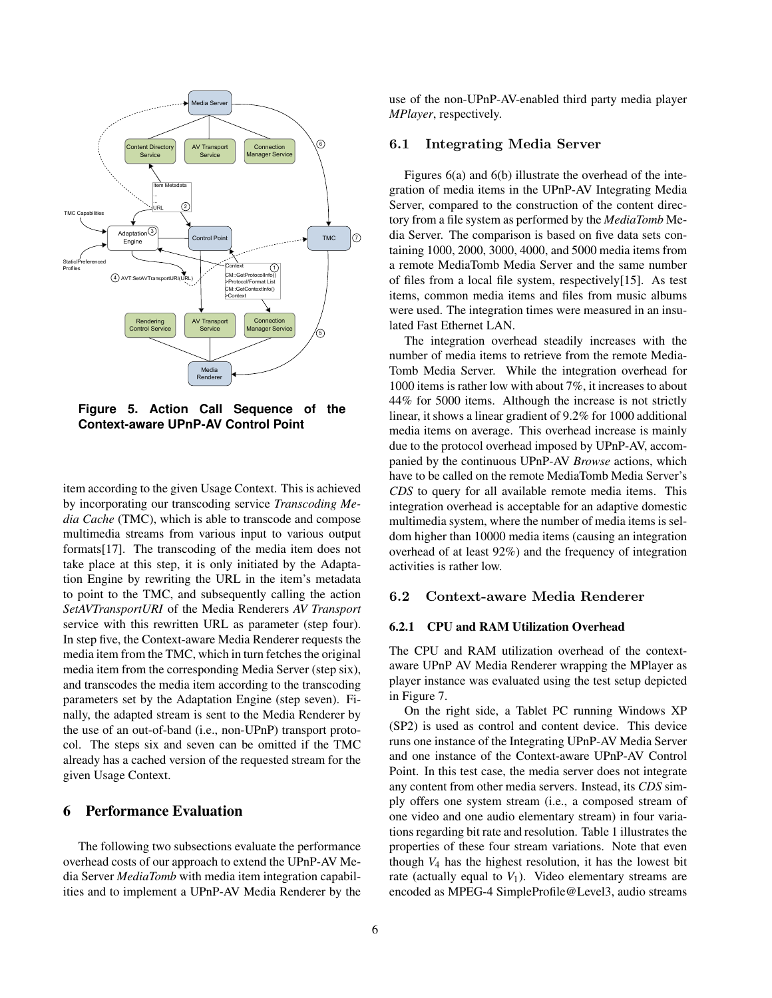

**Figure 5. Action Call Sequence of the Context-aware UPnP-AV Control Point**

item according to the given Usage Context. This is achieved by incorporating our transcoding service *Transcoding Media Cache* (TMC), which is able to transcode and compose multimedia streams from various input to various output formats[17]. The transcoding of the media item does not take place at this step, it is only initiated by the Adaptation Engine by rewriting the URL in the item's metadata to point to the TMC, and subsequently calling the action *SetAVTransportURI* of the Media Renderers *AV Transport* service with this rewritten URL as parameter (step four). In step five, the Context-aware Media Renderer requests the media item from the TMC, which in turn fetches the original media item from the corresponding Media Server (step six), and transcodes the media item according to the transcoding parameters set by the Adaptation Engine (step seven). Finally, the adapted stream is sent to the Media Renderer by the use of an out-of-band (i.e., non-UPnP) transport protocol. The steps six and seven can be omitted if the TMC already has a cached version of the requested stream for the given Usage Context.

## 6 Performance Evaluation

The following two subsections evaluate the performance overhead costs of our approach to extend the UPnP-AV Media Server *MediaTomb* with media item integration capabilities and to implement a UPnP-AV Media Renderer by the use of the non-UPnP-AV-enabled third party media player *MPlayer*, respectively.

## 6.1 Integrating Media Server

Figures 6(a) and 6(b) illustrate the overhead of the integration of media items in the UPnP-AV Integrating Media Server, compared to the construction of the content directory from a file system as performed by the *MediaTomb* Media Server. The comparison is based on five data sets containing 1000, 2000, 3000, 4000, and 5000 media items from a remote MediaTomb Media Server and the same number of files from a local file system, respectively[15]. As test items, common media items and files from music albums were used. The integration times were measured in an insulated Fast Ethernet LAN.

The integration overhead steadily increases with the number of media items to retrieve from the remote Media-Tomb Media Server. While the integration overhead for 1000 items is rather low with about 7%, it increases to about 44% for 5000 items. Although the increase is not strictly linear, it shows a linear gradient of 9.2% for 1000 additional media items on average. This overhead increase is mainly due to the protocol overhead imposed by UPnP-AV, accompanied by the continuous UPnP-AV *Browse* actions, which have to be called on the remote MediaTomb Media Server's *CDS* to query for all available remote media items. This integration overhead is acceptable for an adaptive domestic multimedia system, where the number of media items is seldom higher than 10000 media items (causing an integration overhead of at least 92%) and the frequency of integration activities is rather low.

# 6.2 Context-aware Media Renderer

#### 6.2.1 CPU and RAM Utilization Overhead

The CPU and RAM utilization overhead of the contextaware UPnP AV Media Renderer wrapping the MPlayer as player instance was evaluated using the test setup depicted in Figure 7.

On the right side, a Tablet PC running Windows XP (SP2) is used as control and content device. This device runs one instance of the Integrating UPnP-AV Media Server and one instance of the Context-aware UPnP-AV Control Point. In this test case, the media server does not integrate any content from other media servers. Instead, its *CDS* simply offers one system stream (i.e., a composed stream of one video and one audio elementary stream) in four variations regarding bit rate and resolution. Table 1 illustrates the properties of these four stream variations. Note that even though  $V_4$  has the highest resolution, it has the lowest bit rate (actually equal to  $V_1$ ). Video elementary streams are encoded as MPEG-4 SimpleProfile@Level3, audio streams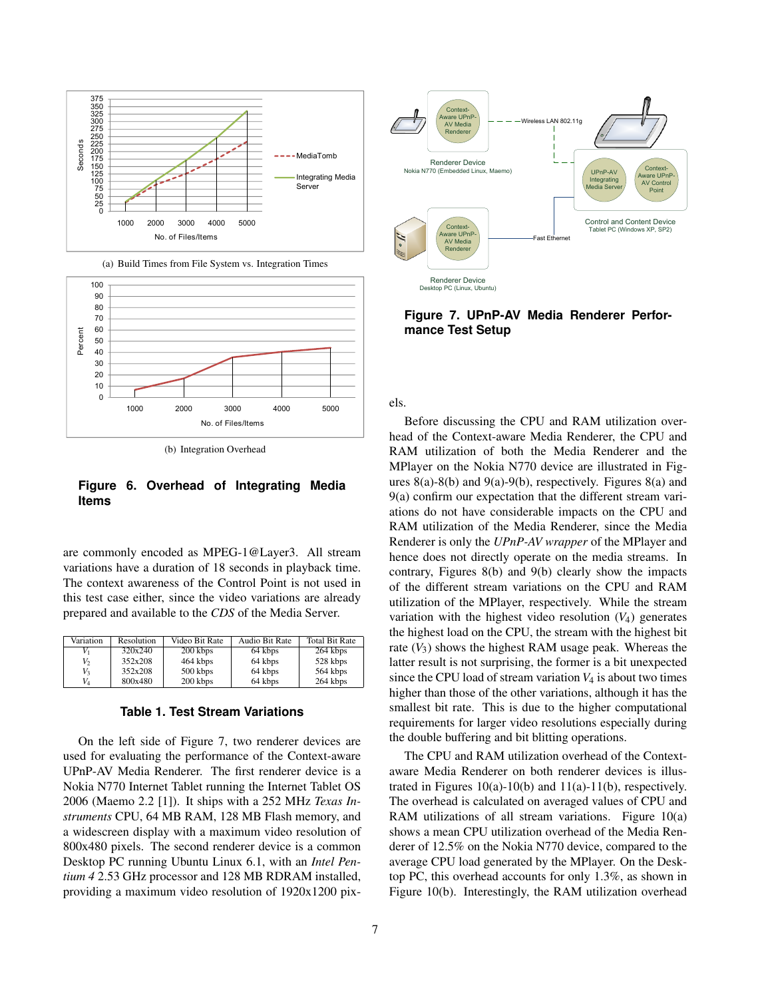

(a) Build Times from File System vs. Integration Times



(b) Integration Overhead

# **Figure 6. Overhead of Integrating Media Items**

are commonly encoded as MPEG-1@Layer3. All stream variations have a duration of 18 seconds in playback time. The context awareness of the Control Point is not used in this test case either, since the video variations are already prepared and available to the *CDS* of the Media Server.

| Variation          | Resolution | Video Bit Rate | Audio Bit Rate | <b>Total Bit Rate</b> |
|--------------------|------------|----------------|----------------|-----------------------|
|                    | 320x240    | 200 kbps       | 64 kbps        | 264 kbps              |
| $V_2$              | 352x208    | 464 kbps       | 64 kbps        | 528 kbps              |
| V3                 | 352x208    | 500 kbps       | 64 kbps        | 564 kbps              |
| $\scriptstyle V_4$ | 800x480    | 200 kbps       | 64 kbps        | 264 kbps              |

#### **Table 1. Test Stream Variations**

On the left side of Figure 7, two renderer devices are used for evaluating the performance of the Context-aware UPnP-AV Media Renderer. The first renderer device is a Nokia N770 Internet Tablet running the Internet Tablet OS 2006 (Maemo 2.2 [1]). It ships with a 252 MHz *Texas Instruments* CPU, 64 MB RAM, 128 MB Flash memory, and a widescreen display with a maximum video resolution of 800x480 pixels. The second renderer device is a common Desktop PC running Ubuntu Linux 6.1, with an *Intel Pentium 4* 2.53 GHz processor and 128 MB RDRAM installed, providing a maximum video resolution of 1920x1200 pix-



Desktop PC (Linux, Ubuntu)

**Figure 7. UPnP-AV Media Renderer Performance Test Setup**

els.

Before discussing the CPU and RAM utilization overhead of the Context-aware Media Renderer, the CPU and RAM utilization of both the Media Renderer and the MPlayer on the Nokia N770 device are illustrated in Figures  $8(a) - 8(b)$  and  $9(a) - 9(b)$ , respectively. Figures  $8(a)$  and 9(a) confirm our expectation that the different stream variations do not have considerable impacts on the CPU and RAM utilization of the Media Renderer, since the Media Renderer is only the *UPnP-AV wrapper* of the MPlayer and hence does not directly operate on the media streams. In contrary, Figures 8(b) and 9(b) clearly show the impacts of the different stream variations on the CPU and RAM utilization of the MPlayer, respectively. While the stream variation with the highest video resolution (*V*4) generates the highest load on the CPU, the stream with the highest bit rate  $(V_3)$  shows the highest RAM usage peak. Whereas the latter result is not surprising, the former is a bit unexpected since the CPU load of stream variation  $V_4$  is about two times higher than those of the other variations, although it has the smallest bit rate. This is due to the higher computational requirements for larger video resolutions especially during the double buffering and bit blitting operations.

The CPU and RAM utilization overhead of the Contextaware Media Renderer on both renderer devices is illustrated in Figures  $10(a)-10(b)$  and  $11(a)-11(b)$ , respectively. The overhead is calculated on averaged values of CPU and RAM utilizations of all stream variations. Figure 10(a) shows a mean CPU utilization overhead of the Media Renderer of 12.5% on the Nokia N770 device, compared to the average CPU load generated by the MPlayer. On the Desktop PC, this overhead accounts for only 1.3%, as shown in Figure 10(b). Interestingly, the RAM utilization overhead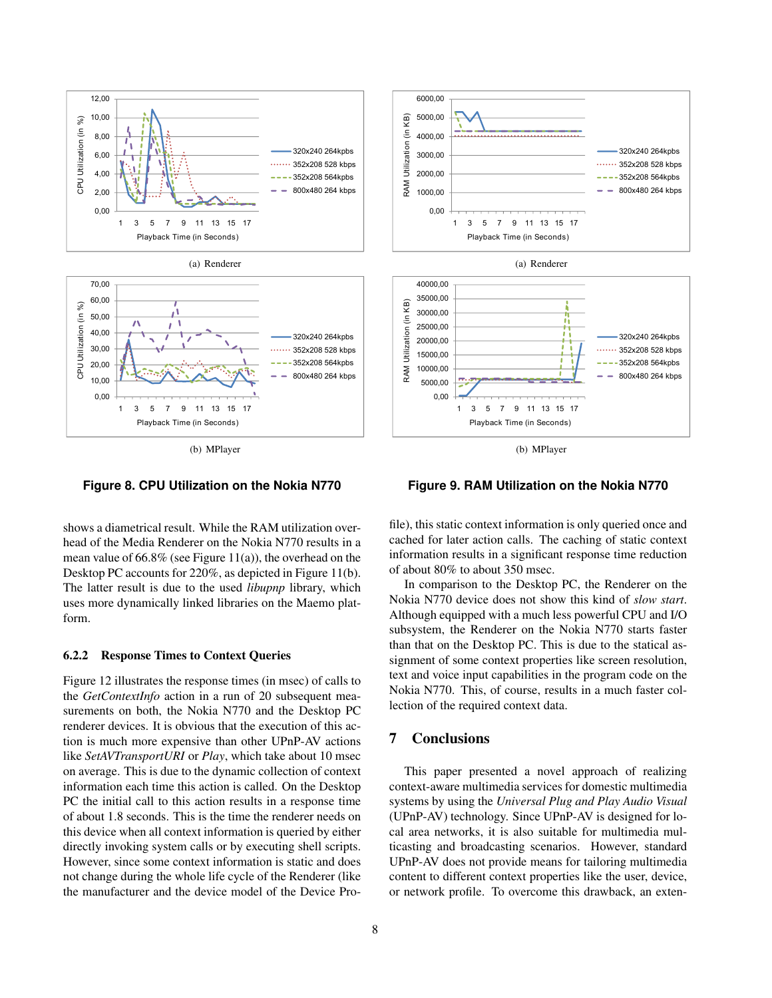

(b) MPlayer

#### **Figure 8. CPU Utilization on the Nokia N770**

shows a diametrical result. While the RAM utilization overhead of the Media Renderer on the Nokia N770 results in a mean value of  $66.8\%$  (see Figure 11(a)), the overhead on the Desktop PC accounts for 220%, as depicted in Figure 11(b). The latter result is due to the used *libupnp* library, which uses more dynamically linked libraries on the Maemo platform.

#### 6.2.2 Response Times to Context Queries

Figure 12 illustrates the response times (in msec) of calls to the *GetContextInfo* action in a run of 20 subsequent measurements on both, the Nokia N770 and the Desktop PC renderer devices. It is obvious that the execution of this action is much more expensive than other UPnP-AV actions like *SetAVTransportURI* or *Play*, which take about 10 msec on average. This is due to the dynamic collection of context information each time this action is called. On the Desktop PC the initial call to this action results in a response time of about 1.8 seconds. This is the time the renderer needs on this device when all context information is queried by either directly invoking system calls or by executing shell scripts. However, since some context information is static and does not change during the whole life cycle of the Renderer (like the manufacturer and the device model of the Device Pro-





1 3 5 7 9 11 13 15 17

Playback Time (in Seconds)

#### **Figure 9. RAM Utilization on the Nokia N770**

file), this static context information is only queried once and cached for later action calls. The caching of static context information results in a significant response time reduction of about 80% to about 350 msec.

In comparison to the Desktop PC, the Renderer on the Nokia N770 device does not show this kind of *slow start*. Although equipped with a much less powerful CPU and I/O subsystem, the Renderer on the Nokia N770 starts faster than that on the Desktop PC. This is due to the statical assignment of some context properties like screen resolution, text and voice input capabilities in the program code on the Nokia N770. This, of course, results in a much faster collection of the required context data.

# 7 Conclusions

0,00

This paper presented a novel approach of realizing context-aware multimedia services for domestic multimedia systems by using the *Universal Plug and Play Audio Visual* (UPnP-AV) technology. Since UPnP-AV is designed for local area networks, it is also suitable for multimedia multicasting and broadcasting scenarios. However, standard UPnP-AV does not provide means for tailoring multimedia content to different context properties like the user, device, or network profile. To overcome this drawback, an exten-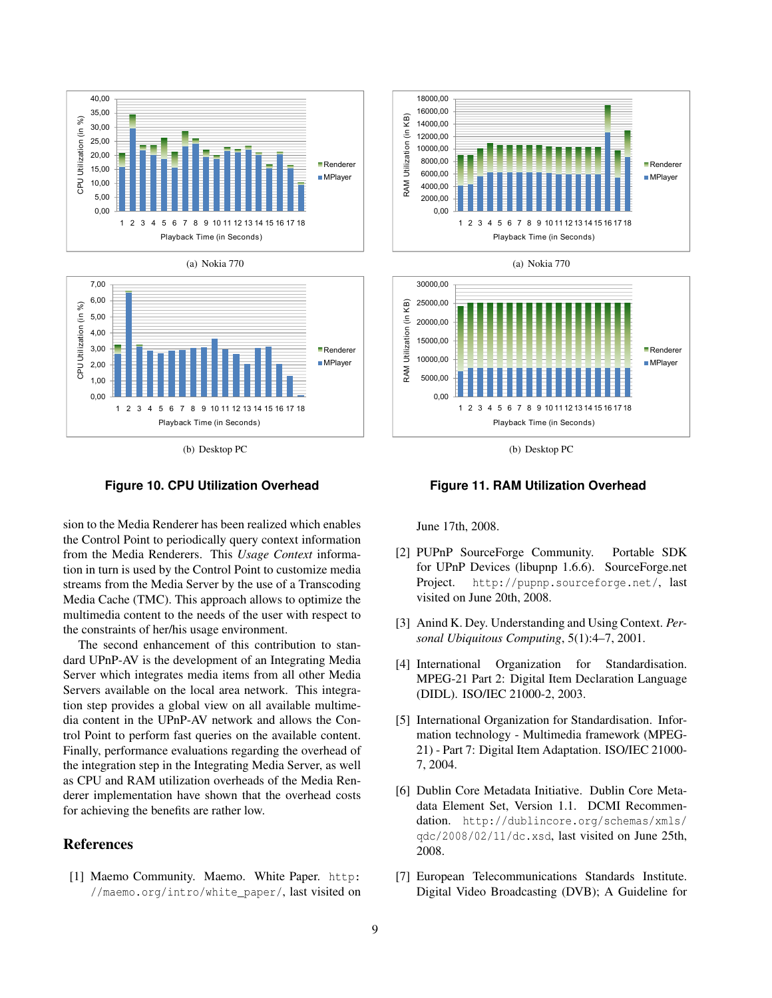





(b) Desktop PC

#### **Figure 10. CPU Utilization Overhead**

sion to the Media Renderer has been realized which enables the Control Point to periodically query context information from the Media Renderers. This *Usage Context* information in turn is used by the Control Point to customize media streams from the Media Server by the use of a Transcoding Media Cache (TMC). This approach allows to optimize the multimedia content to the needs of the user with respect to the constraints of her/his usage environment.

The second enhancement of this contribution to standard UPnP-AV is the development of an Integrating Media Server which integrates media items from all other Media Servers available on the local area network. This integration step provides a global view on all available multimedia content in the UPnP-AV network and allows the Control Point to perform fast queries on the available content. Finally, performance evaluations regarding the overhead of the integration step in the Integrating Media Server, as well as CPU and RAM utilization overheads of the Media Renderer implementation have shown that the overhead costs for achieving the benefits are rather low.

# **References**

[1] Maemo Community. Maemo. White Paper. http: //maemo.org/intro/white\_paper/, last visited on







(b) Desktop PC

#### **Figure 11. RAM Utilization Overhead**

June 17th, 2008.

- [2] PUPnP SourceForge Community. Portable SDK for UPnP Devices (libupnp 1.6.6). SourceForge.net Project. http://pupnp.sourceforge.net/, last visited on June 20th, 2008.
- [3] Anind K. Dey. Understanding and Using Context. *Personal Ubiquitous Computing*, 5(1):4–7, 2001.
- [4] International Organization for Standardisation. MPEG-21 Part 2: Digital Item Declaration Language (DIDL). ISO/IEC 21000-2, 2003.
- [5] International Organization for Standardisation. Information technology - Multimedia framework (MPEG-21) - Part 7: Digital Item Adaptation. ISO/IEC 21000- 7, 2004.
- [6] Dublin Core Metadata Initiative. Dublin Core Metadata Element Set, Version 1.1. DCMI Recommendation. http://dublincore.org/schemas/xmls/ qdc/2008/02/11/dc.xsd, last visited on June 25th, 2008.
- [7] European Telecommunications Standards Institute. Digital Video Broadcasting (DVB); A Guideline for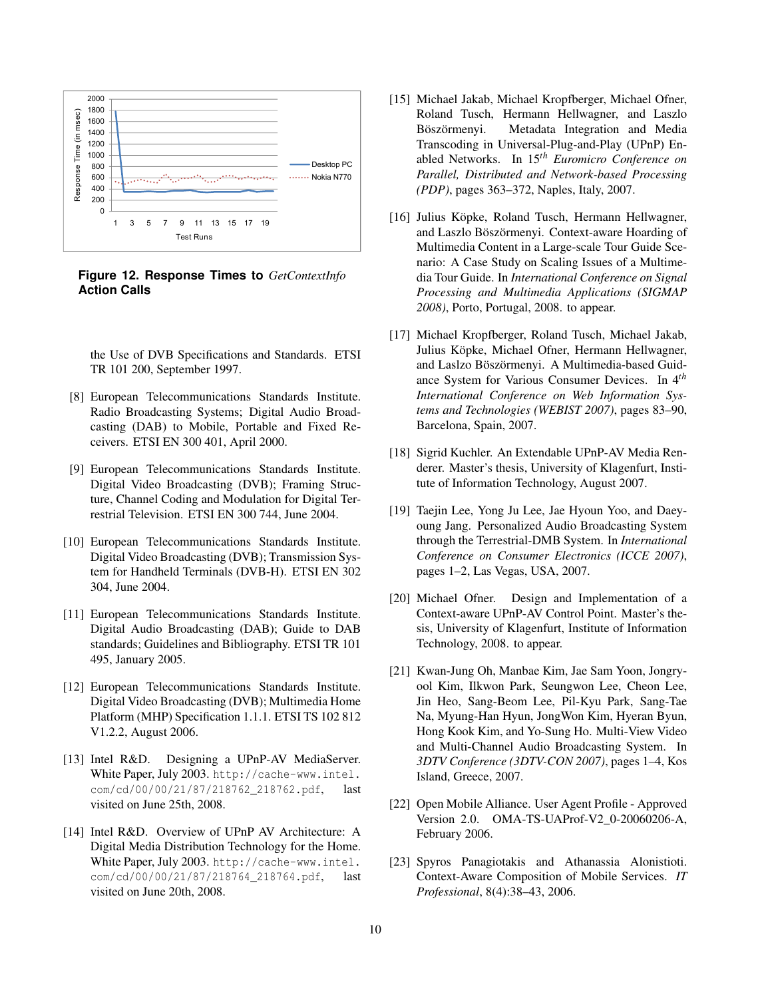

**Figure 12. Response Times to** *GetContextInfo* **Action Calls**

the Use of DVB Specifications and Standards. ETSI TR 101 200, September 1997.

- [8] European Telecommunications Standards Institute. Radio Broadcasting Systems; Digital Audio Broadcasting (DAB) to Mobile, Portable and Fixed Receivers. ETSI EN 300 401, April 2000.
- [9] European Telecommunications Standards Institute. Digital Video Broadcasting (DVB); Framing Structure, Channel Coding and Modulation for Digital Terrestrial Television. ETSI EN 300 744, June 2004.
- [10] European Telecommunications Standards Institute. Digital Video Broadcasting (DVB); Transmission System for Handheld Terminals (DVB-H). ETSI EN 302 304, June 2004.
- [11] European Telecommunications Standards Institute. Digital Audio Broadcasting (DAB); Guide to DAB standards; Guidelines and Bibliography. ETSI TR 101 495, January 2005.
- [12] European Telecommunications Standards Institute. Digital Video Broadcasting (DVB); Multimedia Home Platform (MHP) Specification 1.1.1. ETSI TS 102 812 V1.2.2, August 2006.
- [13] Intel R&D. Designing a UPnP-AV MediaServer. White Paper, July 2003. http://cache-www.intel. com/cd/00/00/21/87/218762\_218762.pdf, last visited on June 25th, 2008.
- [14] Intel R&D. Overview of UPnP AV Architecture: A Digital Media Distribution Technology for the Home. White Paper, July 2003. http://cache-www.intel. com/cd/00/00/21/87/218764\_218764.pdf, last visited on June 20th, 2008.
- [15] Michael Jakab, Michael Kropfberger, Michael Ofner, Roland Tusch, Hermann Hellwagner, and Laszlo Böszörmenyi. Metadata Integration and Media Transcoding in Universal-Plug-and-Play (UPnP) Enabled Networks. In 15*th Euromicro Conference on Parallel, Distributed and Network-based Processing (PDP)*, pages 363–372, Naples, Italy, 2007.
- [16] Julius Köpke, Roland Tusch, Hermann Hellwagner, and Laszlo Böszörmenyi. Context-aware Hoarding of Multimedia Content in a Large-scale Tour Guide Scenario: A Case Study on Scaling Issues of a Multimedia Tour Guide. In *International Conference on Signal Processing and Multimedia Applications (SIGMAP 2008)*, Porto, Portugal, 2008. to appear.
- [17] Michael Kropfberger, Roland Tusch, Michael Jakab, Julius Köpke, Michael Ofner, Hermann Hellwagner, and Laslzo Böszörmenyi. A Multimedia-based Guidance System for Various Consumer Devices. In 4*th International Conference on Web Information Systems and Technologies (WEBIST 2007)*, pages 83–90, Barcelona, Spain, 2007.
- [18] Sigrid Kuchler. An Extendable UPnP-AV Media Renderer. Master's thesis, University of Klagenfurt, Institute of Information Technology, August 2007.
- [19] Taejin Lee, Yong Ju Lee, Jae Hyoun Yoo, and Daeyoung Jang. Personalized Audio Broadcasting System through the Terrestrial-DMB System. In *International Conference on Consumer Electronics (ICCE 2007)*, pages 1–2, Las Vegas, USA, 2007.
- [20] Michael Ofner. Design and Implementation of a Context-aware UPnP-AV Control Point. Master's thesis, University of Klagenfurt, Institute of Information Technology, 2008. to appear.
- [21] Kwan-Jung Oh, Manbae Kim, Jae Sam Yoon, Jongryool Kim, Ilkwon Park, Seungwon Lee, Cheon Lee, Jin Heo, Sang-Beom Lee, Pil-Kyu Park, Sang-Tae Na, Myung-Han Hyun, JongWon Kim, Hyeran Byun, Hong Kook Kim, and Yo-Sung Ho. Multi-View Video and Multi-Channel Audio Broadcasting System. In *3DTV Conference (3DTV-CON 2007)*, pages 1–4, Kos Island, Greece, 2007.
- [22] Open Mobile Alliance. User Agent Profile Approved Version 2.0. OMA-TS-UAProf-V2\_0-20060206-A, February 2006.
- [23] Spyros Panagiotakis and Athanassia Alonistioti. Context-Aware Composition of Mobile Services. *IT Professional*, 8(4):38–43, 2006.